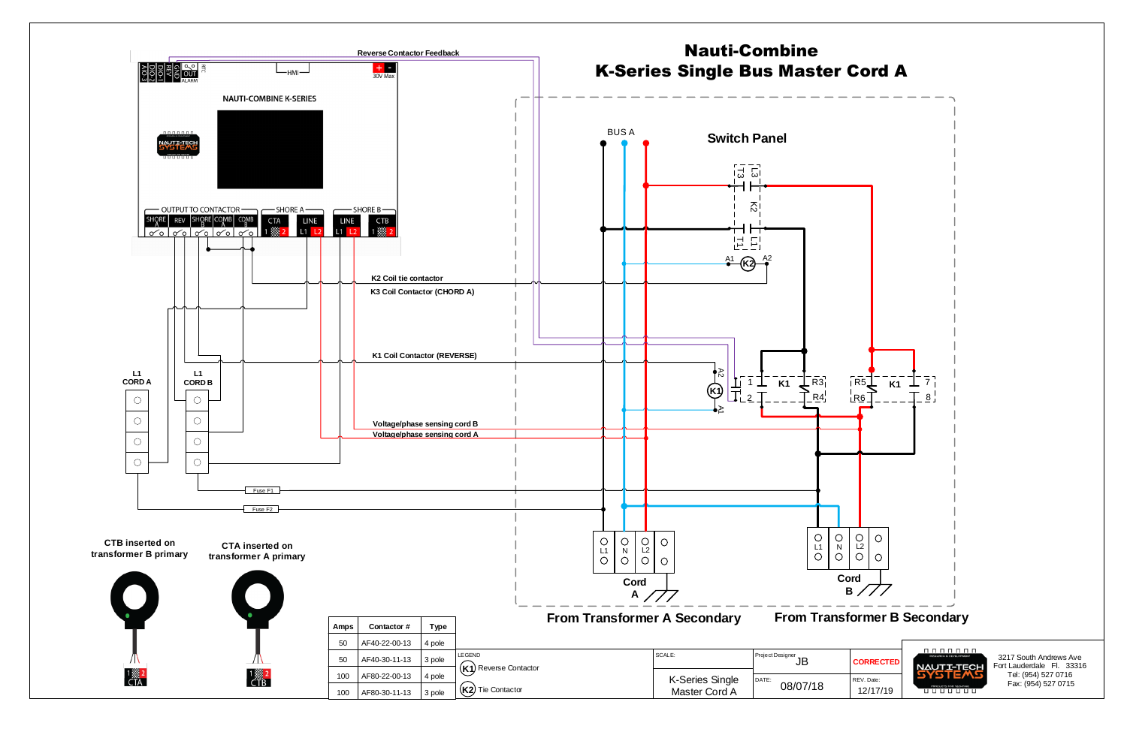3217 South Andrews Ave Fort Lauderdale Fl. 33316 Tel: (954) 527 0716 Fax: (954) 527 0715